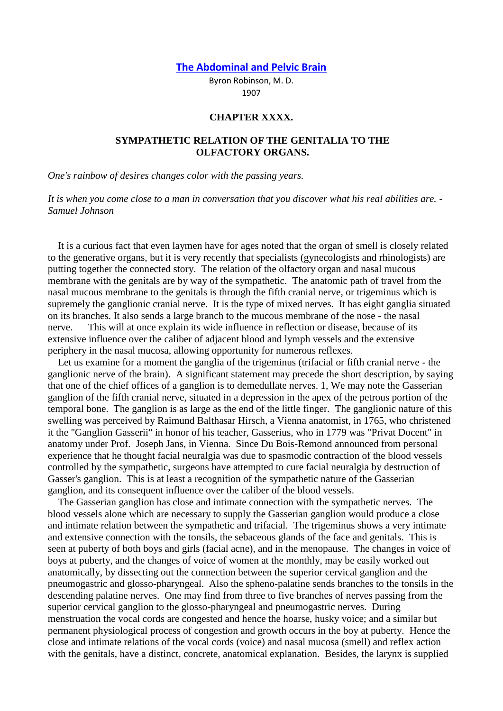**[The Abdominal and Pelvic Brain](http://www.meridianinstitute.com/eamt/files/robinson/Rob1cont.htm)**

Byron Robinson, M. D. 1907

## **CHAPTER XXXX.**

## **SYMPATHETIC RELATION OF THE GENITALIA TO THE OLFACTORY ORGANS.**

*One's rainbow of desires changes color with the passing years.*

*It is when you come close to a man in conversation that you discover what his real abilities are. - Samuel Johnson*

 It is a curious fact that even laymen have for ages noted that the organ of smell is closely related to the generative organs, but it is very recently that specialists (gynecologists and rhinologists) are putting together the connected story. The relation of the olfactory organ and nasal mucous membrane with the genitals are by way of the sympathetic. The anatomic path of travel from the nasal mucous membrane to the genitals is through the fifth cranial nerve, or trigeminus which is supremely the ganglionic cranial nerve. It is the type of mixed nerves. It has eight ganglia situated on its branches. It also sends a large branch to the mucous membrane of the nose - the nasal nerve. This will at once explain its wide influence in reflection or disease, because of its extensive influence over the caliber of adjacent blood and lymph vessels and the extensive periphery in the nasal mucosa, allowing opportunity for numerous reflexes.

 Let us examine for a moment the ganglia of the trigeminus (trifacial or fifth cranial nerve - the ganglionic nerve of the brain). A significant statement may precede the short description, by saying that one of the chief offices of a ganglion is to demedullate nerves. 1, We may note the Gasserian ganglion of the fifth cranial nerve, situated in a depression in the apex of the petrous portion of the temporal bone. The ganglion is as large as the end of the little finger. The ganglionic nature of this swelling was perceived by Raimund Balthasar Hirsch, a Vienna anatomist, in 1765, who christened it the "Ganglion Gasserii" in honor of his teacher, Gasserius, who in 1779 was "Privat Docent" in anatomy under Prof. Joseph Jans, in Vienna. Since Du Bois-Remond announced from personal experience that he thought facial neuralgia was due to spasmodic contraction of the blood vessels controlled by the sympathetic, surgeons have attempted to cure facial neuralgia by destruction of Gasser's ganglion. This is at least a recognition of the sympathetic nature of the Gasserian ganglion, and its consequent influence over the caliber of the blood vessels.

 The Gasserian ganglion has close and intimate connection with the sympathetic nerves. The blood vessels alone which are necessary to supply the Gasserian ganglion would produce a close and intimate relation between the sympathetic and trifacial. The trigeminus shows a very intimate and extensive connection with the tonsils, the sebaceous glands of the face and genitals. This is seen at puberty of both boys and girls (facial acne), and in the menopause. The changes in voice of boys at puberty, and the changes of voice of women at the monthly, may be easily worked out anatomically, by dissecting out the connection between the superior cervical ganglion and the pneumogastric and glosso-pharyngeal. Also the spheno-palatine sends branches to the tonsils in the descending palatine nerves. One may find from three to five branches of nerves passing from the superior cervical ganglion to the glosso-pharyngeal and pneumogastric nerves. During menstruation the vocal cords are congested and hence the hoarse, husky voice; and a similar but permanent physiological process of congestion and growth occurs in the boy at puberty. Hence the close and intimate relations of the vocal cords (voice) and nasal mucosa (smell) and reflex action with the genitals, have a distinct, concrete, anatomical explanation. Besides, the larynx is supplied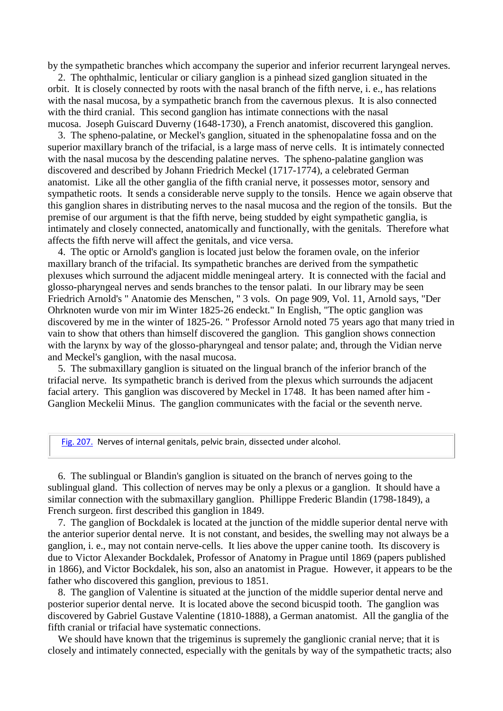by the sympathetic branches which accompany the superior and inferior recurrent laryngeal nerves.

 2. The ophthalmic, lenticular or ciliary ganglion is a pinhead sized ganglion situated in the orbit. It is closely connected by roots with the nasal branch of the fifth nerve, i. e., has relations with the nasal mucosa, by a sympathetic branch from the cavernous plexus. It is also connected with the third cranial. This second ganglion has intimate connections with the nasal mucosa. Joseph Guiscard Duverny (1648-1730), a French anatomist, discovered this ganglion.

 3. The spheno-palatine, or Meckel's ganglion, situated in the sphenopalatine fossa and on the superior maxillary branch of the trifacial, is a large mass of nerve cells. It is intimately connected with the nasal mucosa by the descending palatine nerves. The spheno-palatine ganglion was discovered and described by Johann Friedrich Meckel (1717-1774), a celebrated German anatomist. Like all the other ganglia of the fifth cranial nerve, it possesses motor, sensory and sympathetic roots. It sends a considerable nerve supply to the tonsils. Hence we again observe that this ganglion shares in distributing nerves to the nasal mucosa and the region of the tonsils. But the premise of our argument is that the fifth nerve, being studded by eight sympathetic ganglia, is intimately and closely connected, anatomically and functionally, with the genitals. Therefore what affects the fifth nerve will affect the genitals, and vice versa.

 4. The optic or Arnold's ganglion is located just below the foramen ovale, on the inferior maxillary branch of the trifacial. Its sympathetic branches are derived from the sympathetic plexuses which surround the adjacent middle meningeal artery. It is connected with the facial and glosso-pharyngeal nerves and sends branches to the tensor palati. In our library may be seen Friedrich Arnold's " Anatomie des Menschen, " 3 vols. On page 909, Vol. 11, Arnold says, "Der Ohrknoten wurde von mir im Winter 1825-26 endeckt." In English, "The optic ganglion was discovered by me in the winter of 1825-26. " Professor Arnold noted 75 years ago that many tried in vain to show that others than himself discovered the ganglion. This ganglion shows connection with the larynx by way of the glosso-pharyngeal and tensor palate; and, through the Vidian nerve and Meckel's ganglion, with the nasal mucosa.

 5. The submaxillary ganglion is situated on the lingual branch of the inferior branch of the trifacial nerve. Its sympathetic branch is derived from the plexus which surrounds the adjacent facial artery. This ganglion was discovered by Meckel in 1748. It has been named after him - Ganglion Meckelii Minus. The ganglion communicates with the facial or the seventh nerve.

[Fig. 207.](http://www.meridianinstitute.com/eamt/files/robinson/r207.jpg) Nerves of internal genitals, pelvic brain, dissected under alcohol.

 6. The sublingual or Blandin's ganglion is situated on the branch of nerves going to the sublingual gland. This collection of nerves may be only a plexus or a ganglion. It should have a similar connection with the submaxillary ganglion. Phillippe Frederic Blandin (1798-1849), a French surgeon. first described this ganglion in 1849.

 7. The ganglion of Bockdalek is located at the junction of the middle superior dental nerve with the anterior superior dental nerve. It is not constant, and besides, the swelling may not always be a ganglion, i. e., may not contain nerve-cells. It lies above the upper canine tooth. Its discovery is due to Victor Alexander Bockdalek, Professor of Anatomy in Prague until 1869 (papers published in 1866), and Victor Bockdalek, his son, also an anatomist in Prague. However, it appears to be the father who discovered this ganglion, previous to 1851.

 8. The ganglion of Valentine is situated at the junction of the middle superior dental nerve and posterior superior dental nerve. It is located above the second bicuspid tooth. The ganglion was discovered by Gabriel Gustave Valentine (1810-1888), a German anatomist. All the ganglia of the fifth cranial or trifacial have systematic connections.

We should have known that the trigeminus is supremely the ganglionic cranial nerve; that it is closely and intimately connected, especially with the genitals by way of the sympathetic tracts; also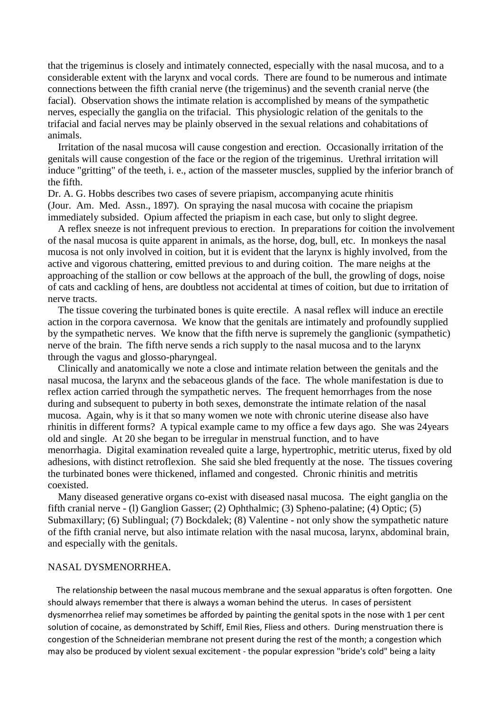that the trigeminus is closely and intimately connected, especially with the nasal mucosa, and to a considerable extent with the larynx and vocal cords. There are found to be numerous and intimate connections between the fifth cranial nerve (the trigeminus) and the seventh cranial nerve (the facial). Observation shows the intimate relation is accomplished by means of the sympathetic nerves, especially the ganglia on the trifacial. This physiologic relation of the genitals to the trifacial and facial nerves may be plainly observed in the sexual relations and cohabitations of animals.

 Irritation of the nasal mucosa will cause congestion and erection. Occasionally irritation of the genitals will cause congestion of the face or the region of the trigeminus. Urethral irritation will induce "gritting" of the teeth, i. e., action of the masseter muscles, supplied by the inferior branch of the fifth.

Dr. A. G. Hobbs describes two cases of severe priapism, accompanying acute rhinitis (Jour. Am. Med. Assn., 1897). On spraying the nasal mucosa with cocaine the priapism immediately subsided. Opium affected the priapism in each case, but only to slight degree.

 A reflex sneeze is not infrequent previous to erection. In preparations for coition the involvement of the nasal mucosa is quite apparent in animals, as the horse, dog, bull, etc. In monkeys the nasal mucosa is not only involved in coition, but it is evident that the larynx is highly involved, from the active and vigorous chattering, emitted previous to and during coition. The mare neighs at the approaching of the stallion or cow bellows at the approach of the bull, the growling of dogs, noise of cats and cackling of hens, are doubtless not accidental at times of coition, but due to irritation of nerve tracts.

 The tissue covering the turbinated bones is quite erectile. A nasal reflex will induce an erectile action in the corpora cavernosa. We know that the genitals are intimately and profoundly supplied by the sympathetic nerves. We know that the fifth nerve is supremely the ganglionic (sympathetic) nerve of the brain. The fifth nerve sends a rich supply to the nasal mucosa and to the larynx through the vagus and glosso-pharyngeal.

 Clinically and anatomically we note a close and intimate relation between the genitals and the nasal mucosa, the larynx and the sebaceous glands of the face. The whole manifestation is due to reflex action carried through the sympathetic nerves. The frequent hemorrhages from the nose during and subsequent to puberty in both sexes, demonstrate the intimate relation of the nasal mucosa. Again, why is it that so many women we note with chronic uterine disease also have rhinitis in different forms? A typical example came to my office a few days ago. She was 24years old and single. At 20 she began to be irregular in menstrual function, and to have menorrhagia. Digital examination revealed quite a large, hypertrophic, metritic uterus, fixed by old adhesions, with distinct retroflexion. She said she bled frequently at the nose. The tissues covering the turbinated bones were thickened, inflamed and congested. Chronic rhinitis and metritis coexisted.

 Many diseased generative organs co-exist with diseased nasal mucosa. The eight ganglia on the fifth cranial nerve - (l) Ganglion Gasser; (2) Ophthalmic; (3) Spheno-palatine; (4) Optic; (5) Submaxillary; (6) Sublingual; (7) Bockdalek; (8) Valentine - not only show the sympathetic nature of the fifth cranial nerve, but also intimate relation with the nasal mucosa, larynx, abdominal brain, and especially with the genitals.

## NASAL DYSMENORRHEA.

 The relationship between the nasal mucous membrane and the sexual apparatus is often forgotten. One should always remember that there is always a woman behind the uterus. In cases of persistent dysmenorrhea relief may sometimes be afforded by painting the genital spots in the nose with 1 per cent solution of cocaine, as demonstrated by Schiff, Emil Ries, Fliess and others. During menstruation there is congestion of the Schneiderian membrane not present during the rest of the month; a congestion which may also be produced by violent sexual excitement - the popular expression "bride's cold" being a laity